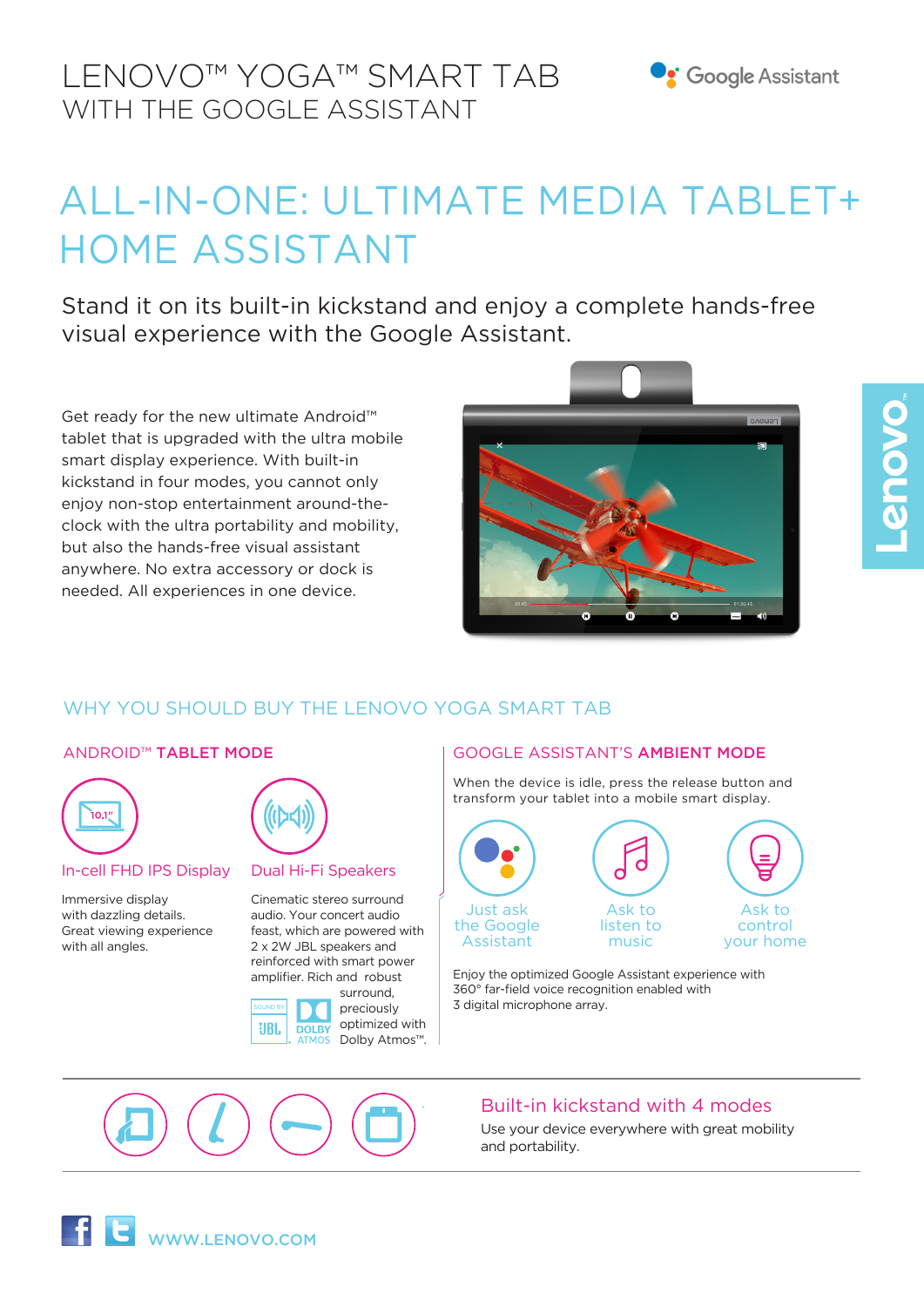# ALL-IN-ONE: ULTIMATE MEDIA TABLET+ HOME ASSISTANT

Stand it on its built-in kickstand and enjoy a complete hands-free visual experience with the Google Assistant.

Get ready for the new ultimate Android™ tablet that is upgraded with the ultra mobile smart display experience. With built-in kickstand in four modes, you cannot only enjoy non-stop entertainment around-theclock with the ultra portability and mobility, but also the hands-free visual assistant anywhere. No extra accessory or dock is needed. All experiences in one device.



# WHY YOU SHOULD BUY THE LENOVO YOGA SMART TAB



### In-cell FHD IPS Display

Immersive display with dazzling details. Great viewing experience with all angles.

### Dual Hi-Fi Speakers

Cinematic stereo surround audio. Your concert audio feast, which are powered with 2 x 2W JBL speakers and reinforced with smart power amplifier. Rich and robust



### ANDROID™ TABLET MODE GOOGLE ASSISTANT'S AMBIENT MODE

When the device is idle, press the release button and transform your tablet into a mobile smart display.



Enjoy the optimized Google Assistant experience with 360° far-field voice recognition enabled with 3 digital microphone array.



## Built-in kickstand with 4 modes

Use your device everywhere with great mobility and portability.